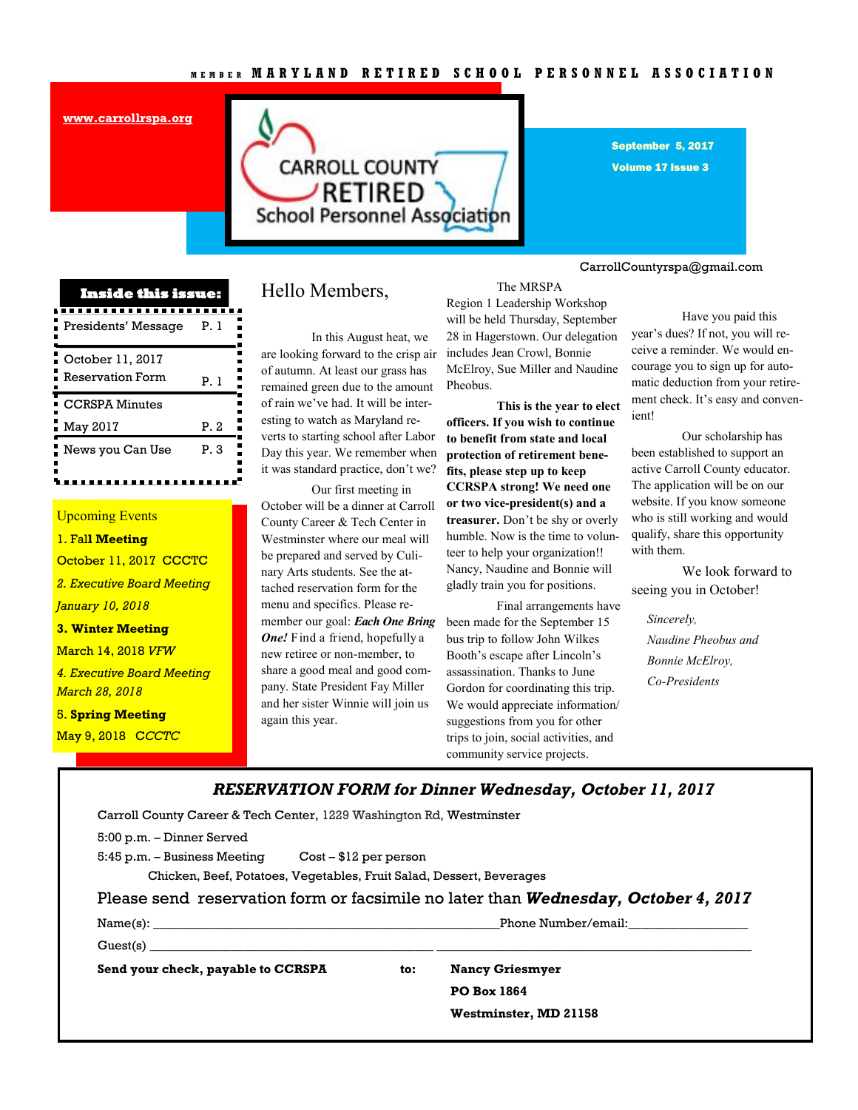**[www.carrollrspa.org](http://www.carrollrspa.org/)**



September 5, 2017

Volume 17 Issue 3

#### CarrollCountyrspa@gmail.com

| <b>Inside this issue:</b> |      |  |
|---------------------------|------|--|
| Presidents' Message       | P. 1 |  |
| October 11, 2017          |      |  |
| <b>Reservation Form</b>   | P.I  |  |
| <b>CCRSPA Minutes</b>     |      |  |
| May 2017                  | P.2  |  |
| News you Can Use          | P. 3 |  |

### Upcoming Events

1. Fal**l Meeting**  October 11, 2017 CCCTC *2. Executive Board Meeting January 10, 2018* **3. Winter Meeting**  March 14, 2018 *VFW 4. Executive Board Meeting March 28, 2018*

5. **Spring Meeting**  May 9, 2018 C*CCTC*

### Hello Members,

In this August heat, we are looking forward to the crisp air of autumn. At least our grass has remained green due to the amount of rain we've had. It will be interesting to watch as Maryland reverts to starting school after Labor Day this year. We remember when it was standard practice, don't we?

Our first meeting in October will be a dinner at Carroll County Career & Tech Center in Westminster where our meal will be prepared and served by Culinary Arts students. See the attached reservation form for the menu and specifics. Please remember our goal: *Each One Bring One!* Find a friend, hopefully a new retiree or non-member, to share a good meal and good company. State President Fay Miller and her sister Winnie will join us again this year.

The MRSPA Region 1 Leadership Workshop will be held Thursday, September 28 in Hagerstown. Our delegation includes Jean Crowl, Bonnie McElroy, Sue Miller and Naudine Pheobus.

**This is the year to elect officers. If you wish to continue to benefit from state and local protection of retirement benefits, please step up to keep CCRSPA strong! We need one or two vice-president(s) and a treasurer.** Don't be shy or overly humble. Now is the time to volunteer to help your organization!! Nancy, Naudine and Bonnie will gladly train you for positions.

Final arrangements have been made for the September 15 bus trip to follow John Wilkes Booth's escape after Lincoln's assassination. Thanks to June Gordon for coordinating this trip. We would appreciate information/ suggestions from you for other trips to join, social activities, and community service projects.

Have you paid this year's dues? If not, you will receive a reminder. We would encourage you to sign up for automatic deduction from your retirement check. It's easy and convenient!

Our scholarship has been established to support an active Carroll County educator. The application will be on our website. If you know someone who is still working and would qualify, share this opportunity with them.

We look forward to seeing you in October!

*Sincerely, Naudine Pheobus and Bonnie McElroy, Co-Presidents*

*RESERVATION FORM for Dinner Wednesday, October 11, 2017* Carroll County Career & Tech Center, 1229 Washington Rd, Westminster 5:00 p.m. – Dinner Served 5:45 p.m. – Business Meeting Cost – \$12 per person Chicken, Beef, Potatoes, Vegetables, Fruit Salad, Dessert, Beverages

Please send reservation form or facsimile no later than *Wednesday, October 4, 2017*

Name(s): \_\_\_\_\_\_\_\_\_\_\_\_\_\_\_\_\_\_\_\_\_\_\_\_\_\_\_\_\_\_\_\_\_\_\_\_\_\_\_\_\_\_\_\_\_\_\_\_\_\_\_\_\_\_\_Phone Number/email:\_\_\_\_\_\_\_\_\_\_\_\_\_\_\_\_\_\_\_

**Send your check, payable to CCRSPA to: Nancy Griesmyer**

Guest(s) \_\_\_\_\_\_\_\_\_\_\_\_\_\_\_\_\_\_\_\_\_\_\_\_\_\_\_\_\_\_\_\_\_\_\_\_\_\_\_\_\_\_\_\_\_ \_\_\_\_\_\_\_\_\_\_\_\_\_\_\_\_\_\_\_\_\_\_\_\_\_\_\_\_\_\_\_\_\_\_\_\_\_\_\_\_\_\_\_\_\_\_\_\_\_\_

**PO Box 1864**

**Westminster, MD 21158**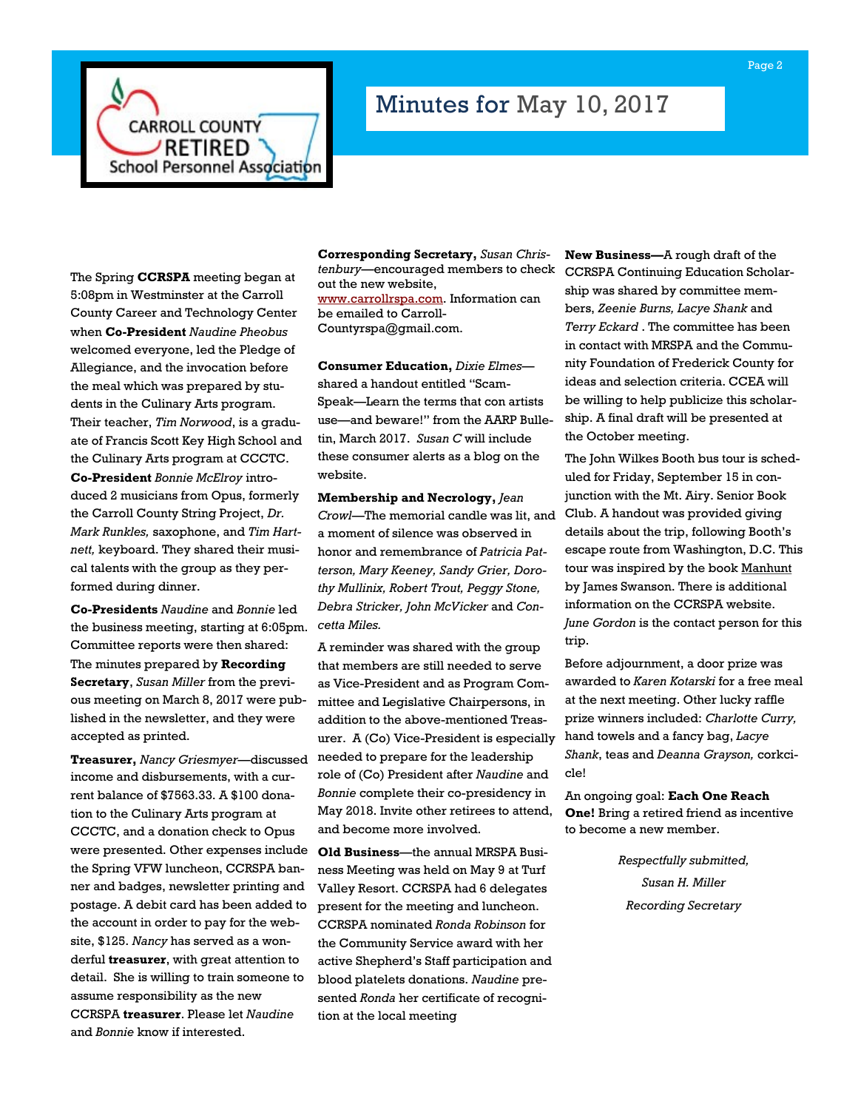

# Minutes for May 10, 2017

The Spring **CCRSPA** meeting began at 5:08pm in Westminster at the Carroll County Career and Technology Center when **Co-President** *Naudine Pheobus*  welcomed everyone, led the Pledge of Allegiance, and the invocation before the meal which was prepared by students in the Culinary Arts program. Their teacher, *Tim Norwood*, is a graduate of Francis Scott Key High School and the Culinary Arts program at CCCTC. **Co-President** *Bonnie McElroy* introduced 2 musicians from Opus, formerly the Carroll County String Project, *Dr. Mark Runkles,* saxophone, and *Tim Hartnett,* keyboard. They shared their musical talents with the group as they performed during dinner.

**Co-Presidents** *Naudine* and *Bonnie* led the business meeting, starting at 6:05pm. Committee reports were then shared: The minutes prepared by **Recording Secretary**, *Susan Miller* from the previous meeting on March 8, 2017 were published in the newsletter, and they were accepted as printed.

**Treasurer,** *Nancy Griesmyer*—discussed income and disbursements, with a current balance of \$7563.33. A \$100 donation to the Culinary Arts program at CCCTC, and a donation check to Opus were presented. Other expenses include the Spring VFW luncheon, CCRSPA banner and badges, newsletter printing and postage. A debit card has been added to the account in order to pay for the website, \$125. *Nancy* has served as a wonderful **treasurer**, with great attention to detail. She is willing to train someone to assume responsibility as the new CCRSPA **treasurer**. Please let *Naudine*  and *Bonnie* know if interested.

**Corresponding Secretary,** *Susan Christenbury*—encouraged members to check out the new website, [www.carrollrspa.com.](http://www.carrollrspa.com) Information can be emailed to Carroll-Countyrspa@gmail.com.

**Consumer Education,** *Dixie Elmes* shared a handout entitled "Scam-Speak—Learn the terms that con artists use—and beware!" from the AARP Bulletin, March 2017. *Susan C* will include these consumer alerts as a blog on the website.

**Membership and Necrology,** *Jean Crowl*—The memorial candle was lit, and a moment of silence was observed in honor and remembrance of *Patricia Patterson, Mary Keeney, Sandy Grier, Dorothy Mullinix, Robert Trout, Peggy Stone, Debra Stricker, John McVicker* and *Concetta Miles.*

A reminder was shared with the group that members are still needed to serve as Vice-President and as Program Committee and Legislative Chairpersons, in addition to the above-mentioned Treasurer. A (Co) Vice-President is especially hand towels and a fancy bag, *Lacye*  needed to prepare for the leadership role of (Co) President after *Naudine* and *Bonnie* complete their co-presidency in May 2018. Invite other retirees to attend, and become more involved.

**Old Business**—the annual MRSPA Business Meeting was held on May 9 at Turf Valley Resort. CCRSPA had 6 delegates present for the meeting and luncheon. CCRSPA nominated *Ronda Robinson* for the Community Service award with her active Shepherd's Staff participation and blood platelets donations. *Naudine* presented *Ronda* her certificate of recognition at the local meeting

**New Business—**A rough draft of the CCRSPA Continuing Education Scholarship was shared by committee members, *Zeenie Burns, Lacye Shank* and *Terry Eckard* . The committee has been in contact with MRSPA and the Community Foundation of Frederick County for ideas and selection criteria. CCEA will be willing to help publicize this scholarship. A final draft will be presented at the October meeting.

The John Wilkes Booth bus tour is scheduled for Friday, September 15 in conjunction with the Mt. Airy. Senior Book Club. A handout was provided giving details about the trip, following Booth's escape route from Washington, D.C. This tour was inspired by the book Manhunt by James Swanson. There is additional information on the CCRSPA website. *June Gordon* is the contact person for this trip.

Before adjournment, a door prize was awarded to *Karen Kotarski* for a free meal at the next meeting. Other lucky raffle prize winners included: *Charlotte Curry, Shank*, teas and *Deanna Grayson,* corkcicle!

An ongoing goal: **Each One Reach One!** Bring a retired friend as incentive to become a new member.

> *Respectfully submitted, Susan H. Miller Recording Secretary*

Page 2